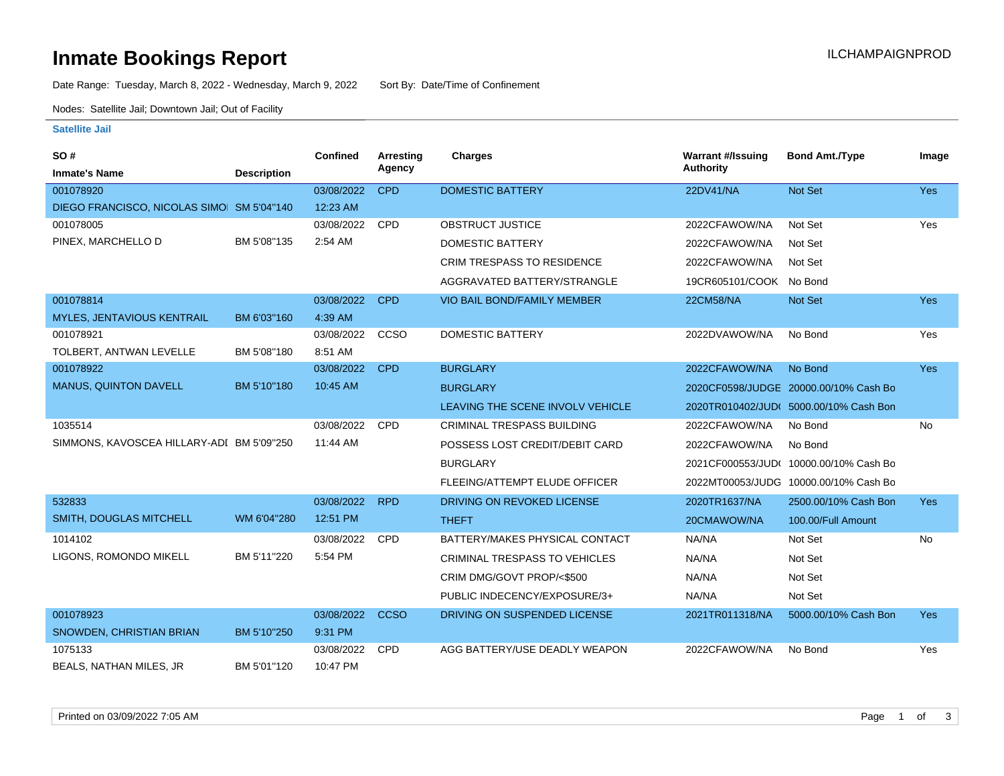# **Inmate Bookings Report Inmate Bookings Report**

Date Range: Tuesday, March 8, 2022 - Wednesday, March 9, 2022 Sort By: Date/Time of Confinement

Nodes: Satellite Jail; Downtown Jail; Out of Facility

### **Satellite Jail**

| SO#                                       |                    | <b>Confined</b> | <b>Arresting</b> | Charges                              | <b>Warrant #/Issuing</b> | <b>Bond Amt./Type</b>                  | Image      |
|-------------------------------------------|--------------------|-----------------|------------------|--------------------------------------|--------------------------|----------------------------------------|------------|
| <b>Inmate's Name</b>                      | <b>Description</b> |                 | Agency           |                                      | Authority                |                                        |            |
| 001078920                                 |                    | 03/08/2022      | <b>CPD</b>       | <b>DOMESTIC BATTERY</b>              | 22DV41/NA                | Not Set                                | <b>Yes</b> |
| DIEGO FRANCISCO, NICOLAS SIMO SM 5'04"140 |                    | 12:23 AM        |                  |                                      |                          |                                        |            |
| 001078005                                 |                    | 03/08/2022      | CPD              | OBSTRUCT JUSTICE                     | 2022CFAWOW/NA            | Not Set                                | Yes        |
| PINEX, MARCHELLO D                        | BM 5'08"135        | 2:54 AM         |                  | <b>DOMESTIC BATTERY</b>              | 2022CFAWOW/NA            | Not Set                                |            |
|                                           |                    |                 |                  | <b>CRIM TRESPASS TO RESIDENCE</b>    | 2022CFAWOW/NA            | Not Set                                |            |
|                                           |                    |                 |                  | AGGRAVATED BATTERY/STRANGLE          | 19CR605101/COOK No Bond  |                                        |            |
| 001078814                                 |                    | 03/08/2022      | <b>CPD</b>       | <b>VIO BAIL BOND/FAMILY MEMBER</b>   | <b>22CM58/NA</b>         | Not Set                                | <b>Yes</b> |
| MYLES, JENTAVIOUS KENTRAIL                | BM 6'03"160        | 4:39 AM         |                  |                                      |                          |                                        |            |
| 001078921                                 |                    | 03/08/2022      | CCSO             | <b>DOMESTIC BATTERY</b>              | 2022DVAWOW/NA            | No Bond                                | Yes        |
| TOLBERT, ANTWAN LEVELLE                   | BM 5'08"180        | 8:51 AM         |                  |                                      |                          |                                        |            |
| 001078922                                 |                    | 03/08/2022      | <b>CPD</b>       | <b>BURGLARY</b>                      | 2022CFAWOW/NA            | No Bond                                | <b>Yes</b> |
| <b>MANUS, QUINTON DAVELL</b>              | BM 5'10"180        | 10:45 AM        |                  | <b>BURGLARY</b>                      |                          | 2020CF0598/JUDGE 20000.00/10% Cash Bo  |            |
|                                           |                    |                 |                  | LEAVING THE SCENE INVOLV VEHICLE     |                          | 2020TR010402/JUD( 5000.00/10% Cash Bon |            |
| 1035514                                   |                    | 03/08/2022      | <b>CPD</b>       | <b>CRIMINAL TRESPASS BUILDING</b>    | 2022CFAWOW/NA            | No Bond                                | No         |
| SIMMONS, KAVOSCEA HILLARY-ADI BM 5'09"250 |                    | 11:44 AM        |                  | POSSESS LOST CREDIT/DEBIT CARD       | 2022CFAWOW/NA            | No Bond                                |            |
|                                           |                    |                 |                  | <b>BURGLARY</b>                      |                          | 2021CF000553/JUD(10000.00/10% Cash Bo  |            |
|                                           |                    |                 |                  | FLEEING/ATTEMPT ELUDE OFFICER        |                          | 2022MT00053/JUDG 10000.00/10% Cash Bo  |            |
| 532833                                    |                    | 03/08/2022      | <b>RPD</b>       | DRIVING ON REVOKED LICENSE           | 2020TR1637/NA            | 2500.00/10% Cash Bon                   | <b>Yes</b> |
| SMITH, DOUGLAS MITCHELL                   | WM 6'04"280        | 12:51 PM        |                  | <b>THEFT</b>                         | 20CMAWOW/NA              | 100.00/Full Amount                     |            |
| 1014102                                   |                    | 03/08/2022      | <b>CPD</b>       | BATTERY/MAKES PHYSICAL CONTACT       | NA/NA                    | Not Set                                | No         |
| LIGONS, ROMONDO MIKELL                    | BM 5'11"220        | 5:54 PM         |                  | <b>CRIMINAL TRESPASS TO VEHICLES</b> | NA/NA                    | Not Set                                |            |
|                                           |                    |                 |                  | CRIM DMG/GOVT PROP/<\$500            | NA/NA                    | Not Set                                |            |
|                                           |                    |                 |                  | PUBLIC INDECENCY/EXPOSURE/3+         | NA/NA                    | Not Set                                |            |
| 001078923                                 |                    | 03/08/2022      | <b>CCSO</b>      | DRIVING ON SUSPENDED LICENSE         | 2021TR011318/NA          | 5000.00/10% Cash Bon                   | Yes        |
| SNOWDEN, CHRISTIAN BRIAN                  | BM 5'10"250        | 9:31 PM         |                  |                                      |                          |                                        |            |
| 1075133                                   |                    | 03/08/2022      | <b>CPD</b>       | AGG BATTERY/USE DEADLY WEAPON        | 2022CFAWOW/NA            | No Bond                                | Yes        |
| BEALS, NATHAN MILES, JR                   | BM 5'01"120        | 10:47 PM        |                  |                                      |                          |                                        |            |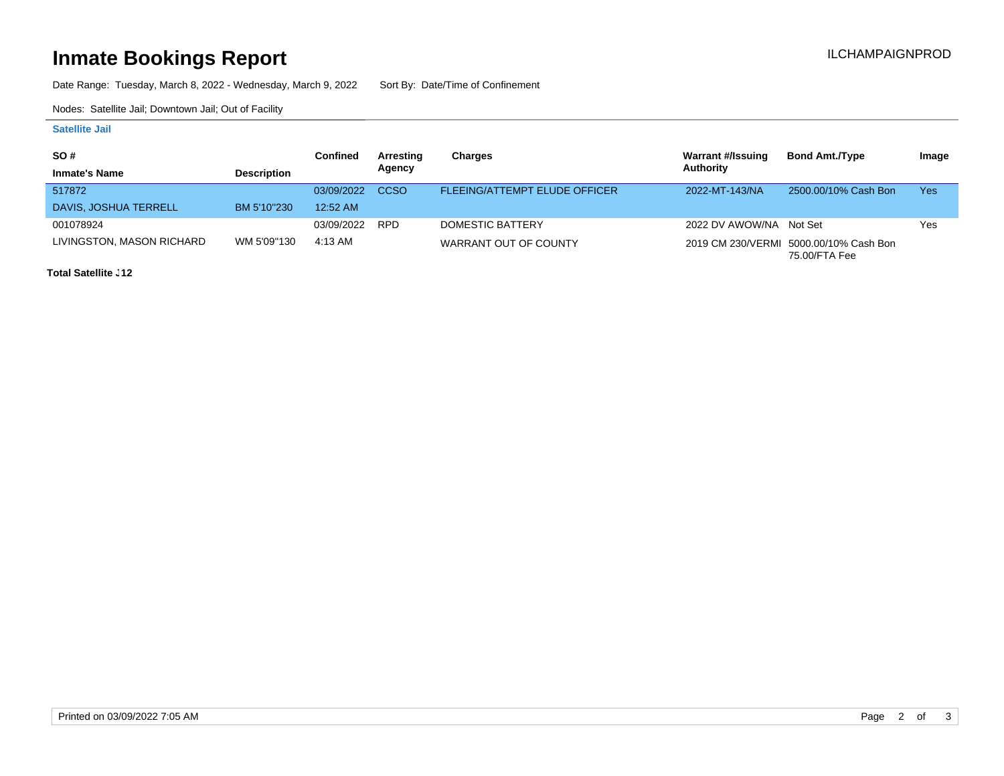# **Inmate Bookings Report Inmate Bookings Report**

Date Range: Tuesday, March 8, 2022 - Wednesday, March 9, 2022 Sort By: Date/Time of Confinement

Nodes: Satellite Jail; Downtown Jail; Out of Facility

### **Satellite Jail**

| <b>SO#</b>                |                    | Confined   | Arresting  | Charges                              | <b>Warrant #/Issuing</b> | <b>Bond Amt./Type</b>                                   | Image |
|---------------------------|--------------------|------------|------------|--------------------------------------|--------------------------|---------------------------------------------------------|-------|
| <b>Inmate's Name</b>      | <b>Description</b> |            | Agency     |                                      | Authority                |                                                         |       |
| 517872                    |                    | 03/09/2022 | CCSO       | <b>FLEEING/ATTEMPT ELUDE OFFICER</b> | 2022-MT-143/NA           | 2500.00/10% Cash Bon                                    | Yes   |
| DAVIS, JOSHUA TERRELL     | BM 5'10"230        | 12:52 AM   |            |                                      |                          |                                                         |       |
| 001078924                 |                    | 03/09/2022 | <b>RPD</b> | DOMESTIC BATTERY                     | 2022 DV AWOW/NA Not Set  |                                                         | Yes   |
| LIVINGSTON, MASON RICHARD | WM 5'09"130        | 4:13 AM    |            | WARRANT OUT OF COUNTY                |                          | 2019 CM 230/VERMI 5000.00/10% Cash Bon<br>75.00/FTA Fee |       |

**Total Satellite . 12**